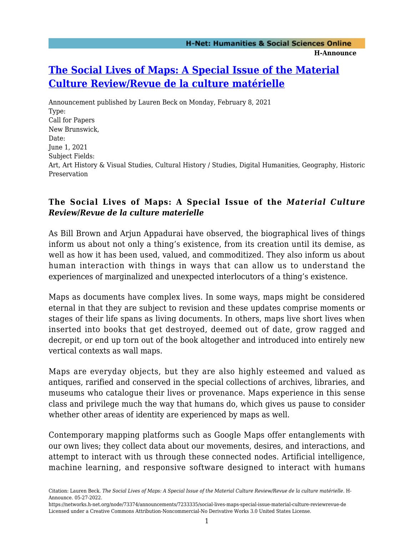## **[The Social Lives of Maps: A Special Issue of the Material](https://networks.h-net.org/node/73374/announcements/7233335/social-lives-maps-special-issue-material-culture-reviewrevue-de) [Culture Review/Revue de la culture matérielle](https://networks.h-net.org/node/73374/announcements/7233335/social-lives-maps-special-issue-material-culture-reviewrevue-de)**

Announcement published by Lauren Beck on Monday, February 8, 2021 Type: Call for Papers New Brunswick, Date: June 1, 2021 Subject Fields: Art, Art History & Visual Studies, Cultural History / Studies, Digital Humanities, Geography, Historic Preservation

## **The Social Lives of Maps: A Special Issue of the** *Material Culture Review***/***Revue de la culture materielle*

As Bill Brown and Arjun Appadurai have observed, the biographical lives of things inform us about not only a thing's existence, from its creation until its demise, as well as how it has been used, valued, and commoditized. They also inform us about human interaction with things in ways that can allow us to understand the experiences of marginalized and unexpected interlocutors of a thing's existence.

Maps as documents have complex lives. In some ways, maps might be considered eternal in that they are subject to revision and these updates comprise moments or stages of their life spans as living documents. In others, maps live short lives when inserted into books that get destroyed, deemed out of date, grow ragged and decrepit, or end up torn out of the book altogether and introduced into entirely new vertical contexts as wall maps.

Maps are everyday objects, but they are also highly esteemed and valued as antiques, rarified and conserved in the special collections of archives, libraries, and museums who catalogue their lives or provenance. Maps experience in this sense class and privilege much the way that humans do, which gives us pause to consider whether other areas of identity are experienced by maps as well.

Contemporary mapping platforms such as Google Maps offer entanglements with our own lives; they collect data about our movements, desires, and interactions, and attempt to interact with us through these connected nodes. Artificial intelligence, machine learning, and responsive software designed to interact with humans